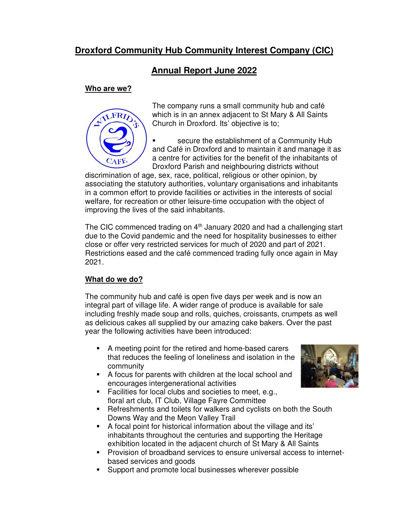# **Droxford Community Hub Community Interest Company (CIC)**

# **Annual Report June 2022**

### **Who are we?**



The company runs a small community hub and café which is in an annex adjacent to St Mary & All Saints Church in Droxford. Its' objective is to;

 secure the establishment of a Community Hub and Café in Droxford and to maintain it and manage it as a centre for activities for the benefit of the inhabitants of Droxford Parish and neighbouring districts without

discrimination of age, sex, race, political, religious or other opinion, by associating the statutory authorities, voluntary organisations and inhabitants in a common effort to provide facilities or activities in the interests of social welfare, for recreation or other leisure-time occupation with the object of improving the lives of the said inhabitants.

The CIC commenced trading on 4<sup>th</sup> January 2020 and had a challenging start due to the Covid pandemic and the need for hospitality businesses to either close or offer very restricted services for much of 2020 and part of 2021. Restrictions eased and the café commenced trading fully once again in May 2021.

## **What do we do?**

The community hub and café is open five days per week and is now an integral part of village life. A wider range of produce is available for sale including freshly made soup and rolls, quiches, croissants, crumpets as well as delicious cakes all supplied by our amazing cake bakers. Over the past year the following activities have been introduced:

- A meeting point for the retired and home-based carers that reduces the feeling of loneliness and isolation in the community
- A focus for parents with children at the local school and encourages intergenerational activities



- **Facilities for local clubs and societies to meet, e.g.,** floral art club, IT Club, Village Fayre Committee
- Refreshments and toilets for walkers and cyclists on both the South Downs Way and the Meon Valley Trail
- A focal point for historical information about the village and its' inhabitants throughout the centuries and supporting the Heritage exhibition located in the adjacent church of St Mary & All Saints
- Provision of broadband services to ensure universal access to internetbased services and goods
- Support and promote local businesses wherever possible